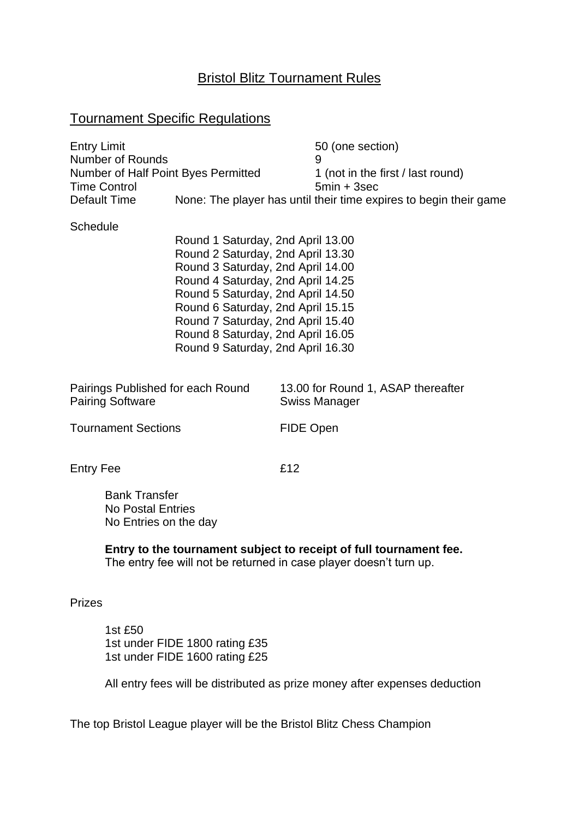## Bristol Blitz Tournament Rules

## Tournament Specific Regulations

| <b>Entry Limit</b>                  | 50 (one section)                                                  |
|-------------------------------------|-------------------------------------------------------------------|
| <b>Number of Rounds</b>             |                                                                   |
| Number of Half Point Byes Permitted | 1 (not in the first / last round)                                 |
| <b>Time Control</b>                 | $5min + 3sec$                                                     |
| Default Time                        | None: The player has until their time expires to begin their game |

#### **Schedule**

Round 1 Saturday, 2nd April 13.00 Round 2 Saturday, 2nd April 13.30 Round 3 Saturday, 2nd April 14.00 Round 4 Saturday, 2nd April 14.25 Round 5 Saturday, 2nd April 14.50 Round 6 Saturday, 2nd April 15.15 Round 7 Saturday, 2nd April 15.40 Round 8 Saturday, 2nd April 16.05 Round 9 Saturday, 2nd April 16.30

| Pairings Published for each Round | 13.00 for Round 1, ASAP thereafter |
|-----------------------------------|------------------------------------|
| Pairing Software                  | Swiss Manager                      |
|                                   |                                    |

Tournament Sections FIDE Open

Entry Fee **Entry Fee** 

Bank Transfer No Postal Entries No Entries on the day

**Entry to the tournament subject to receipt of full tournament fee.** The entry fee will not be returned in case player doesn't turn up.

#### Prizes

1st £50 1st under FIDE 1800 rating £35 1st under FIDE 1600 rating £25

All entry fees will be distributed as prize money after expenses deduction

The top Bristol League player will be the Bristol Blitz Chess Champion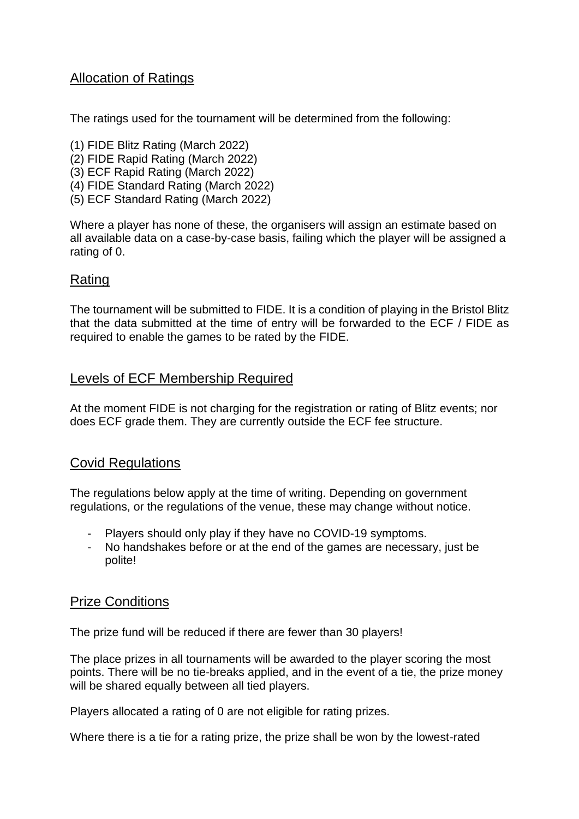# Allocation of Ratings

The ratings used for the tournament will be determined from the following:

- (1) FIDE Blitz Rating (March 2022)
- (2) FIDE Rapid Rating (March 2022)
- (3) ECF Rapid Rating (March 2022)
- (4) FIDE Standard Rating (March 2022)
- (5) ECF Standard Rating (March 2022)

Where a player has none of these, the organisers will assign an estimate based on all available data on a case-by-case basis, failing which the player will be assigned a rating of 0.

# Rating

The tournament will be submitted to FIDE. It is a condition of playing in the Bristol Blitz that the data submitted at the time of entry will be forwarded to the ECF / FIDE as required to enable the games to be rated by the FIDE.

# Levels of ECF Membership Required

At the moment FIDE is not charging for the registration or rating of Blitz events; nor does ECF grade them. They are currently outside the ECF fee structure.

# Covid Regulations

The regulations below apply at the time of writing. Depending on government regulations, or the regulations of the venue, these may change without notice.

- Players should only play if they have no COVID-19 symptoms.
- No handshakes before or at the end of the games are necessary, just be polite!

# Prize Conditions

The prize fund will be reduced if there are fewer than 30 players!

The place prizes in all tournaments will be awarded to the player scoring the most points. There will be no tie-breaks applied, and in the event of a tie, the prize money will be shared equally between all tied players.

Players allocated a rating of 0 are not eligible for rating prizes.

Where there is a tie for a rating prize, the prize shall be won by the lowest-rated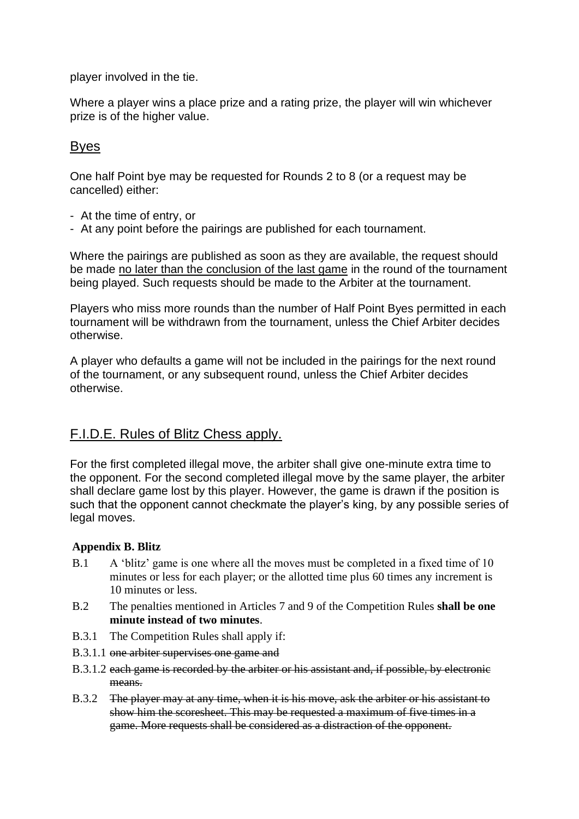player involved in the tie.

Where a player wins a place prize and a rating prize, the player will win whichever prize is of the higher value.

## Byes

One half Point bye may be requested for Rounds 2 to 8 (or a request may be cancelled) either:

- At the time of entry, or
- At any point before the pairings are published for each tournament.

Where the pairings are published as soon as they are available, the request should be made no later than the conclusion of the last game in the round of the tournament being played. Such requests should be made to the Arbiter at the tournament.

Players who miss more rounds than the number of Half Point Byes permitted in each tournament will be withdrawn from the tournament, unless the Chief Arbiter decides otherwise.

A player who defaults a game will not be included in the pairings for the next round of the tournament, or any subsequent round, unless the Chief Arbiter decides otherwise.

# F.I.D.E. Rules of Blitz Chess apply.

For the first completed illegal move, the arbiter shall give one-minute extra time to the opponent. For the second completed illegal move by the same player, the arbiter shall declare game lost by this player. However, the game is drawn if the position is such that the opponent cannot checkmate the player's king, by any possible series of legal moves.

### **Appendix B. Blitz**

- B.1 A 'blitz' game is one where all the moves must be completed in a fixed time of 10 minutes or less for each player; or the allotted time plus 60 times any increment is 10 minutes or less.
- B.2 The penalties mentioned in Articles 7 and 9 of the Competition Rules **shall be one minute instead of two minutes**.
- B.3.1 The Competition Rules shall apply if:
- B.3.1.1 one arbiter supervises one game and
- B.3.1.2 each game is recorded by the arbiter or his assistant and, if possible, by electronic means.
- B.3.2 The player may at any time, when it is his move, ask the arbiter or his assistant to show him the scoresheet. This may be requested a maximum of five times in a game. More requests shall be considered as a distraction of the opponent.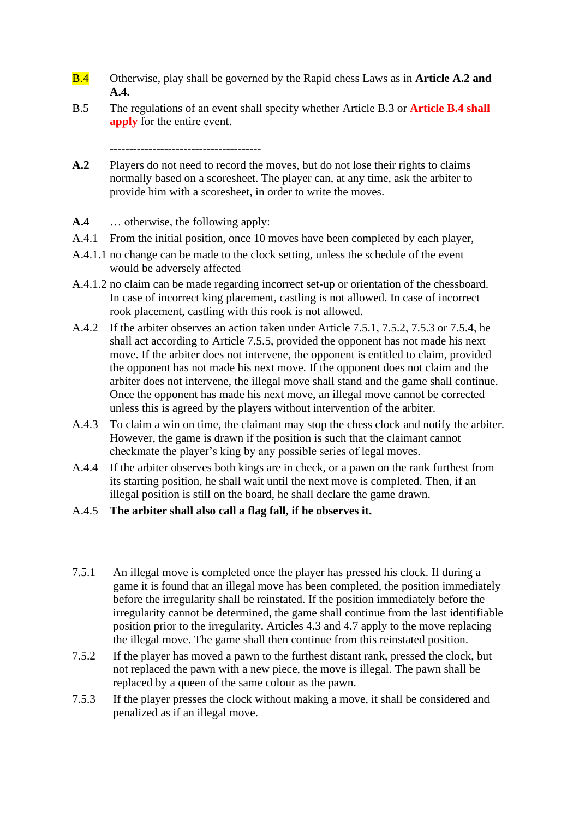- B.4 Otherwise, play shall be governed by the Rapid chess Laws as in **Article A.2 and A.4.**
- B.5 The regulations of an event shall specify whether Article B.3 or **Article B.4 shall apply** for the entire event.

---------------------------------------

- **A.2** Players do not need to record the moves, but do not lose their rights to claims normally based on a scoresheet. The player can, at any time, ask the arbiter to provide him with a scoresheet, in order to write the moves.
- **A.4** … otherwise, the following apply:
- A.4.1 From the initial position, once 10 moves have been completed by each player,
- A.4.1.1 no change can be made to the clock setting, unless the schedule of the event would be adversely affected
- A.4.1.2 no claim can be made regarding incorrect set-up or orientation of the chessboard. In case of incorrect king placement, castling is not allowed. In case of incorrect rook placement, castling with this rook is not allowed.
- A.4.2 If the arbiter observes an action taken under Article 7.5.1, 7.5.2, 7.5.3 or 7.5.4, he shall act according to Article 7.5.5, provided the opponent has not made his next move. If the arbiter does not intervene, the opponent is entitled to claim, provided the opponent has not made his next move. If the opponent does not claim and the arbiter does not intervene, the illegal move shall stand and the game shall continue. Once the opponent has made his next move, an illegal move cannot be corrected unless this is agreed by the players without intervention of the arbiter.
- A.4.3 To claim a win on time, the claimant may stop the chess clock and notify the arbiter. However, the game is drawn if the position is such that the claimant cannot checkmate the player's king by any possible series of legal moves.
- A.4.4 If the arbiter observes both kings are in check, or a pawn on the rank furthest from its starting position, he shall wait until the next move is completed. Then, if an illegal position is still on the board, he shall declare the game drawn.
- A.4.5 **The arbiter shall also call a flag fall, if he observes it.**
- 7.5.1 An illegal move is completed once the player has pressed his clock. If during a game it is found that an illegal move has been completed, the position immediately before the irregularity shall be reinstated. If the position immediately before the irregularity cannot be determined, the game shall continue from the last identifiable position prior to the irregularity. Articles 4.3 and 4.7 apply to the move replacing the illegal move. The game shall then continue from this reinstated position.
- 7.5.2 If the player has moved a pawn to the furthest distant rank, pressed the clock, but not replaced the pawn with a new piece, the move is illegal. The pawn shall be replaced by a queen of the same colour as the pawn.
- 7.5.3 If the player presses the clock without making a move, it shall be considered and penalized as if an illegal move.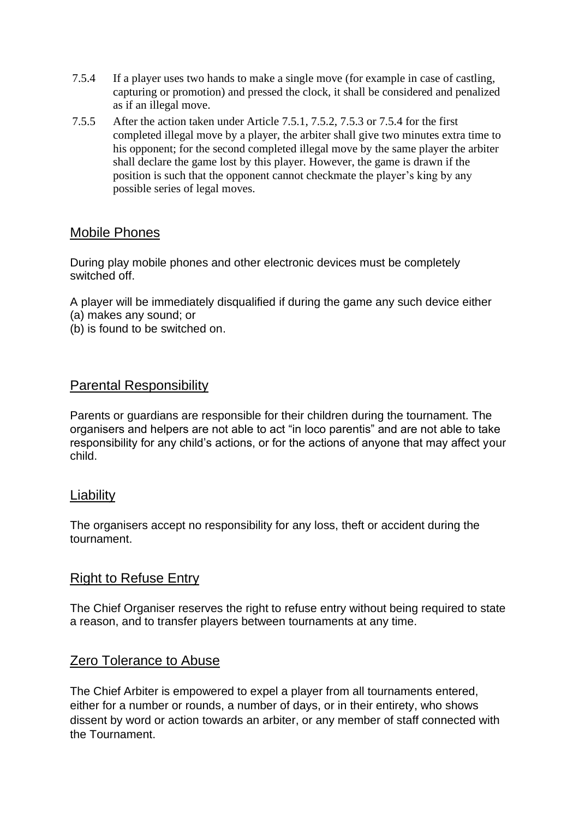- 7.5.4 If a player uses two hands to make a single move (for example in case of castling, capturing or promotion) and pressed the clock, it shall be considered and penalized as if an illegal move.
- 7.5.5 After the action taken under Article 7.5.1, 7.5.2, 7.5.3 or 7.5.4 for the first completed illegal move by a player, the arbiter shall give two minutes extra time to his opponent; for the second completed illegal move by the same player the arbiter shall declare the game lost by this player. However, the game is drawn if the position is such that the opponent cannot checkmate the player's king by any possible series of legal moves.

## Mobile Phones

During play mobile phones and other electronic devices must be completely switched off.

A player will be immediately disqualified if during the game any such device either

- (a) makes any sound; or
- (b) is found to be switched on.

## Parental Responsibility

Parents or guardians are responsible for their children during the tournament. The organisers and helpers are not able to act "in loco parentis" and are not able to take responsibility for any child's actions, or for the actions of anyone that may affect your child.

## **Liability**

The organisers accept no responsibility for any loss, theft or accident during the tournament.

## Right to Refuse Entry

The Chief Organiser reserves the right to refuse entry without being required to state a reason, and to transfer players between tournaments at any time.

# Zero Tolerance to Abuse

The Chief Arbiter is empowered to expel a player from all tournaments entered, either for a number or rounds, a number of days, or in their entirety, who shows dissent by word or action towards an arbiter, or any member of staff connected with the Tournament.